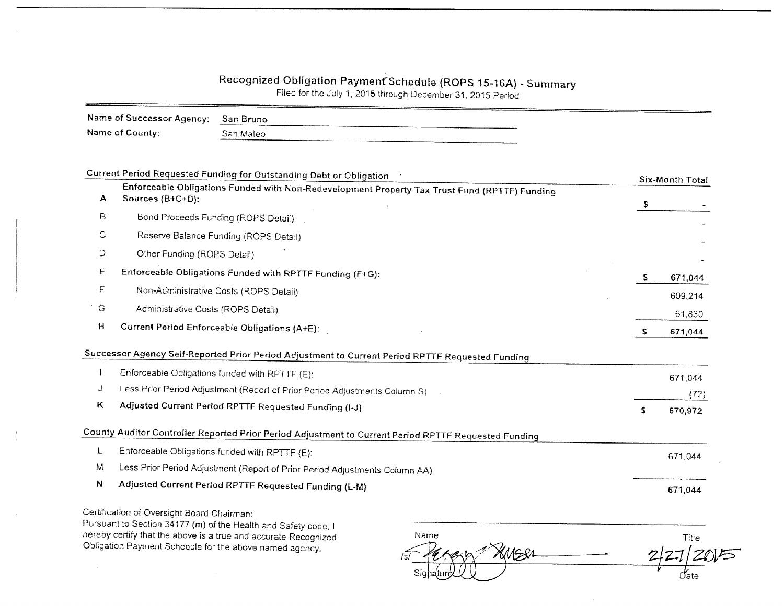# Recognized Obligation Payment Schedule (ROPS 15-16A) - Summary

Filed for the July 1, 2015 through December 31, 2015 Period

| Name of Successor Agency: San Bruno |           |
|-------------------------------------|-----------|
| Name of County:                     | San Mateo |
|                                     |           |

|   | Current Period Requested Funding for Outstanding Debt or Obligation                                               |    | Six-Month Total |
|---|-------------------------------------------------------------------------------------------------------------------|----|-----------------|
| A | Enforceable Obligations Funded with Non-Redevelopment Property Tax Trust Fund (RPTTF) Funding<br>Sources (B+C+D): |    |                 |
| B | Bond Proceeds Funding (ROPS Detail)                                                                               |    |                 |
| С | Reserve Balance Funding (ROPS Detail)                                                                             |    |                 |
| D | Other Funding (ROPS Detail)                                                                                       |    |                 |
| Ε | Enforceable Obligations Funded with RPTTF Funding (F+G):                                                          | -5 | 671,044         |
| F | Non-Administrative Costs (ROPS Detail)                                                                            |    | 609,214         |
| G | Administrative Costs (ROPS Detail)                                                                                |    | 61,830          |
| Н | Current Period Enforceable Obligations (A+E):                                                                     | -S | 671,044         |
|   | Successor Agency Self-Reported Prior Period Adjustment to Current Period RPTTF Requested Funding                  |    |                 |
|   | Enforceable Obligations funded with RPTTF (E):                                                                    |    | 671,044         |
| J | Less Prior Period Adjustment (Report of Prior Period Adjustments Column S)                                        |    | (72)            |
| κ | Adjusted Current Period RPTTF Requested Funding (I-J)                                                             | \$ | 670,972         |
|   | County Auditor Controller Reported Prior Period Adjustment to Current Period RPTTF Requested Funding              |    |                 |
| L | Enforceable Obligations funded with RPTTF (E):                                                                    |    | 671,044         |
| M | Less Prior Period Adjustment (Report of Prior Period Adjustments Column AA)                                       |    |                 |
| N | Adjusted Current Period RPTTF Requested Funding (L-M)                                                             |    | 671,044         |

Certification of Oversight Board Chairman:

 $\sim$ 

Pursuant to Section 34177 (m) of the Health and Safety code, I hereby certify that the above is a true and accurate Recognized Obligation Payment Schedule for the above named agency.

Name Title KMOSA  $\overline{Date}$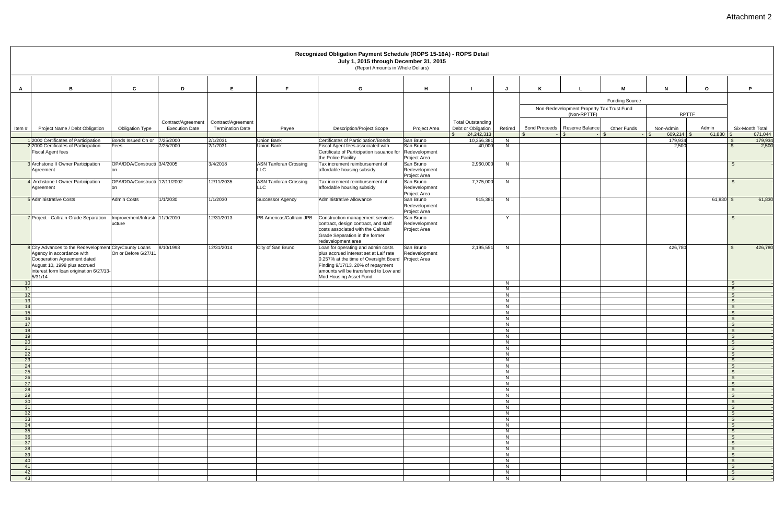|                       | Recognized Obligation Payment Schedule (ROPS 15-16A) - ROPS Detail<br>July 1, 2015 through December 31, 2015<br>(Report Amounts in Whole Dollars) |                                      |                                             |                                               |                                            |                                                                                              |                               |                                                |          |   |                                           |                       |                    |             |                                          |
|-----------------------|---------------------------------------------------------------------------------------------------------------------------------------------------|--------------------------------------|---------------------------------------------|-----------------------------------------------|--------------------------------------------|----------------------------------------------------------------------------------------------|-------------------------------|------------------------------------------------|----------|---|-------------------------------------------|-----------------------|--------------------|-------------|------------------------------------------|
|                       |                                                                                                                                                   |                                      |                                             |                                               |                                            |                                                                                              |                               |                                                |          |   |                                           |                       |                    |             |                                          |
| A                     | $\overline{B}$                                                                                                                                    | C                                    | D                                           | E                                             | F.                                         | G                                                                                            | н                             |                                                |          | K |                                           | M                     | N                  | $\Omega$    | P.                                       |
|                       |                                                                                                                                                   |                                      |                                             |                                               |                                            |                                                                                              |                               |                                                |          |   | Non-Redevelopment Property Tax Trust Fund | <b>Funding Source</b> |                    |             |                                          |
|                       |                                                                                                                                                   |                                      |                                             |                                               |                                            |                                                                                              |                               |                                                |          |   | (Non-RPTTF)                               |                       | <b>RPTTF</b>       |             |                                          |
| Item#                 | Project Name / Debt Obligation                                                                                                                    | <b>Obligation Type</b>               | Contract/Agreement<br><b>Execution Date</b> | Contract/Agreement<br><b>Termination Date</b> | Payee                                      | <b>Description/Project Scope</b>                                                             | Project Area                  | <b>Total Outstanding</b><br>Debt or Obligation | Retired  |   | Bond Proceeds   Reserve Balance           | <b>Other Funds</b>    | Non-Admin          | Admin       | Six-Month Total                          |
|                       |                                                                                                                                                   |                                      |                                             |                                               |                                            |                                                                                              |                               | 24,242,313<br>$\mathbb{S}$                     |          |   | $-1$ \$                                   |                       | 609,214 \$<br>l SS | $61,830$ \$ | 671,044                                  |
|                       | 1 2000 Certificates of Participation<br>2 2000 Certificates of Participation                                                                      | Bonds Issued On or 7/25/2000<br>Fees | 7/25/2000                                   | 2/1/2031<br>2/1/2031                          | <b>Union Bank</b><br><b>Union Bank</b>     | Certificates of Participation/Bonds<br>Fiscal Agent fees associated with                     | San Bruno<br>San Bruno        | 10,356,38<br>40,000                            | N<br>N   |   |                                           |                       | 179,934<br>2,500   |             | 179,934<br>-\$<br>2,500<br>$\mathbf{\$}$ |
|                       | <b>Fiscal Agent fees</b>                                                                                                                          |                                      |                                             |                                               |                                            | Certificate of Participation issuance for<br>the Police Facility                             | Redevelopment<br>Project Area |                                                |          |   |                                           |                       |                    |             |                                          |
|                       | 3 Archstone II Owner Participation<br>Agreement                                                                                                   | OPA/DDA/Constructi 3/4/2005<br>on    |                                             | 3/4/2018                                      | <b>ASN Tanforan Crossing</b><br>LLC        | Tax increment reimbursement of<br>affordable housing subsidy                                 | San Bruno<br>Redevelopment    | 2,960,000                                      | N        |   |                                           |                       |                    |             | \$                                       |
|                       |                                                                                                                                                   |                                      |                                             |                                               |                                            |                                                                                              | Project Area                  |                                                |          |   |                                           |                       |                    |             |                                          |
|                       | 4 Archstone I Owner Participation<br>Agreement                                                                                                    | OPA/DDA/Constructi 12/11/2002<br>on  |                                             | 12/11/2035                                    | <b>ASN Tanforan Crossing</b><br><b>LLC</b> | Tax increment reimbursement of<br>affordable housing subsidy                                 | San Bruno<br>Redevelopment    | 7,775,000                                      | N        |   |                                           |                       |                    |             | \$                                       |
|                       | 5 Administrative Costs                                                                                                                            | <b>Admin Costs</b>                   | 1/1/2030                                    | 1/1/2030                                      | <b>Successor Agency</b>                    | Administrative Allowance                                                                     | Project Area<br>San Bruno     | 915,38                                         | N        |   |                                           |                       |                    | $61,830$ \$ | 61,830                                   |
|                       |                                                                                                                                                   |                                      |                                             |                                               |                                            |                                                                                              | Redevelopment                 |                                                |          |   |                                           |                       |                    |             |                                          |
|                       | 7 Project - Caltrain Grade Separation                                                                                                             | Improvement/Infrastr 11/9/2010       |                                             | 12/31/2013                                    | PB Americas/Caltrain JPB                   | Construction management services                                                             | Project Area<br>San Bruno     |                                                | Y        |   |                                           |                       |                    |             | - \$                                     |
|                       |                                                                                                                                                   | ucture                               |                                             |                                               |                                            | contract, design contract, and staff<br>costs associated with the Caltrain                   | Redevelopment<br>Project Area |                                                |          |   |                                           |                       |                    |             |                                          |
|                       |                                                                                                                                                   |                                      |                                             |                                               |                                            | Grade Separation in the former                                                               |                               |                                                |          |   |                                           |                       |                    |             |                                          |
|                       | 8 City Advances to the Redevelopment City/County Loans                                                                                            |                                      | 8/10/1998                                   | 12/31/2014                                    | City of San Bruno                          | redevelopment area<br>Loan for operating and admin costs                                     | San Bruno                     | 2,195,55                                       | N        |   |                                           |                       | 426,780            |             | 426,780<br>$\mathcal{L}$                 |
|                       | Agency in accordance with<br>Cooperation Agreement dated                                                                                          | On or Before 6/27/11                 |                                             |                                               |                                            | plus accrued interest set at Laif rate<br>0.257% at the time of Oversight Board Project Area | Redevelopment                 |                                                |          |   |                                           |                       |                    |             |                                          |
|                       | August 10, 1998 plus accrued<br>interest form loan origination 6/27/13-                                                                           |                                      |                                             |                                               |                                            | Finding 9/17/13. 20% of repayment<br>amounts will be transferred to Low and                  |                               |                                                |          |   |                                           |                       |                    |             |                                          |
|                       | 5/31/14                                                                                                                                           |                                      |                                             |                                               |                                            | Mod Housing Asset Fund.                                                                      |                               |                                                |          |   |                                           |                       |                    |             |                                          |
| 10 <sup>1</sup><br>11 |                                                                                                                                                   |                                      |                                             |                                               |                                            |                                                                                              |                               |                                                | N<br>N   |   |                                           |                       |                    |             | - S<br>\$                                |
| 12<br>13              |                                                                                                                                                   |                                      |                                             |                                               |                                            |                                                                                              |                               |                                                | N<br>N   |   |                                           |                       |                    |             | $\mathbf{\hat{s}}$<br>$\mathbb{S}$       |
| 14                    |                                                                                                                                                   |                                      |                                             |                                               |                                            |                                                                                              |                               |                                                | N        |   |                                           |                       |                    |             | <b>\$</b>                                |
| 15<br>16              |                                                                                                                                                   |                                      |                                             |                                               |                                            |                                                                                              |                               |                                                | N<br>N   |   |                                           |                       |                    |             | \$<br>$\mathbb{S}$                       |
| 17<br>18              |                                                                                                                                                   |                                      |                                             |                                               |                                            |                                                                                              |                               |                                                | N<br>N   |   |                                           |                       |                    |             | \$<br>$\bullet$                          |
| -19                   |                                                                                                                                                   |                                      |                                             |                                               |                                            |                                                                                              |                               |                                                | N        |   |                                           |                       |                    |             |                                          |
| 20<br>21              |                                                                                                                                                   |                                      |                                             |                                               |                                            |                                                                                              |                               |                                                | N.<br>N  |   |                                           |                       |                    |             |                                          |
| 22<br>23              |                                                                                                                                                   |                                      |                                             |                                               |                                            |                                                                                              |                               |                                                | N<br>N   |   |                                           |                       |                    |             | $\mathcal{S}$                            |
| 24<br>25              |                                                                                                                                                   |                                      |                                             |                                               |                                            |                                                                                              |                               |                                                | N<br>N   |   |                                           |                       |                    |             | $\mathcal{S}$<br>\$                      |
| 26                    |                                                                                                                                                   |                                      |                                             |                                               |                                            |                                                                                              |                               |                                                | N        |   |                                           |                       |                    |             |                                          |
| 27<br>28              |                                                                                                                                                   |                                      |                                             |                                               |                                            |                                                                                              |                               |                                                | N<br>N   |   |                                           |                       |                    |             | - \$                                     |
| 29<br>30              |                                                                                                                                                   |                                      |                                             |                                               |                                            |                                                                                              |                               |                                                | N.<br>N. |   |                                           |                       |                    |             | - \$                                     |
| 31                    |                                                                                                                                                   |                                      |                                             |                                               |                                            |                                                                                              |                               |                                                | N        |   |                                           |                       |                    |             |                                          |
| 32<br>33              |                                                                                                                                                   |                                      |                                             |                                               |                                            |                                                                                              |                               |                                                | N<br>N   |   |                                           |                       |                    |             | - \$                                     |
| 34<br>35              |                                                                                                                                                   |                                      |                                             |                                               |                                            |                                                                                              |                               |                                                | N<br>N   |   |                                           |                       |                    |             | - \$                                     |
| 36                    |                                                                                                                                                   |                                      |                                             |                                               |                                            |                                                                                              |                               |                                                | N        |   |                                           |                       |                    |             |                                          |
| 37<br>38              |                                                                                                                                                   |                                      |                                             |                                               |                                            |                                                                                              |                               |                                                | N<br>N   |   |                                           |                       |                    |             | - \$                                     |
| 39<br>- 40            |                                                                                                                                                   |                                      |                                             |                                               |                                            |                                                                                              |                               |                                                | N<br>N   |   |                                           |                       |                    |             | -\$                                      |
| 41<br>42              |                                                                                                                                                   |                                      |                                             |                                               |                                            |                                                                                              |                               |                                                | N.<br>N  |   |                                           |                       |                    |             | - \$<br>- \$                             |
| 43                    |                                                                                                                                                   |                                      |                                             |                                               |                                            |                                                                                              |                               |                                                | N.       |   |                                           |                       |                    |             | - \$                                     |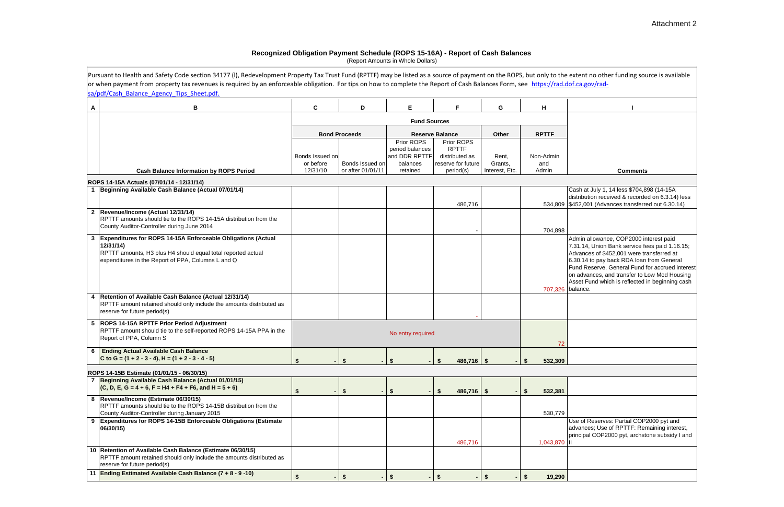|   | Pursuant to Health and Safety Code section 34177 (I), Redevelopment Property Tax Trust Fund (RPTTF) may be listed as a source of payment on the ROPS, but only to the extent no other funding source is available |                              |                      |                                                            |                                                                    |                  |                          |                                                                                                                                                                                                                                                                                                                                                      |
|---|-------------------------------------------------------------------------------------------------------------------------------------------------------------------------------------------------------------------|------------------------------|----------------------|------------------------------------------------------------|--------------------------------------------------------------------|------------------|--------------------------|------------------------------------------------------------------------------------------------------------------------------------------------------------------------------------------------------------------------------------------------------------------------------------------------------------------------------------------------------|
|   | or when payment from property tax revenues is required by an enforceable obligation. For tips on how to complete the Report of Cash Balances Form, see https://rad.dof.ca.gov/rad-                                |                              |                      |                                                            |                                                                    |                  |                          |                                                                                                                                                                                                                                                                                                                                                      |
|   | sa/pdf/Cash_Balance_Agency_Tips_Sheet.pdf.                                                                                                                                                                        |                              |                      |                                                            |                                                                    |                  |                          |                                                                                                                                                                                                                                                                                                                                                      |
| A | В                                                                                                                                                                                                                 | C                            | D                    | Е                                                          | F.                                                                 | G                | H                        |                                                                                                                                                                                                                                                                                                                                                      |
|   |                                                                                                                                                                                                                   |                              |                      |                                                            |                                                                    |                  |                          |                                                                                                                                                                                                                                                                                                                                                      |
|   |                                                                                                                                                                                                                   |                              | <b>Bond Proceeds</b> |                                                            | <b>Reserve Balance</b>                                             | Other            | <b>RPTTF</b>             |                                                                                                                                                                                                                                                                                                                                                      |
|   |                                                                                                                                                                                                                   | Bonds Issued on<br>or before | Bonds Issued on      | Prior ROPS<br>period balances<br>and DDR RPTTF<br>balances | Prior ROPS<br><b>RPTTF</b><br>distributed as<br>reserve for future | Rent,<br>Grants, | Non-Admin<br>and         |                                                                                                                                                                                                                                                                                                                                                      |
|   | <b>Cash Balance Information by ROPS Period</b>                                                                                                                                                                    | 12/31/10                     | or after 01/01/11    | retained                                                   | period(s)                                                          | Interest, Etc.   | Admin                    | <b>Comments</b>                                                                                                                                                                                                                                                                                                                                      |
|   | ROPS 14-15A Actuals (07/01/14 - 12/31/14)                                                                                                                                                                         |                              |                      |                                                            |                                                                    |                  |                          |                                                                                                                                                                                                                                                                                                                                                      |
|   | 1 Beginning Available Cash Balance (Actual 07/01/14)                                                                                                                                                              |                              |                      |                                                            | 486,716                                                            |                  |                          | Cash at July 1, 14 less \$704,898 (14-15A<br>distribution received & recorded on 6.3.14) less<br>534,809 \$452,001 (Advances transferred out 6.30.14)                                                                                                                                                                                                |
|   | 2 Revenue/Income (Actual 12/31/14)<br>RPTTF amounts should tie to the ROPS 14-15A distribution from the<br>County Auditor-Controller during June 2014                                                             |                              |                      |                                                            |                                                                    |                  | 704,898                  |                                                                                                                                                                                                                                                                                                                                                      |
| 3 | Expenditures for ROPS 14-15A Enforceable Obligations (Actual<br>12/31/14)<br>RPTTF amounts, H3 plus H4 should equal total reported actual<br>expenditures in the Report of PPA, Columns L and Q                   |                              |                      |                                                            |                                                                    |                  | 707,326                  | Admin allowance, COP2000 interest paid<br>7.31.14, Union Bank service fees paid 1.16.15;<br>Advances of \$452,001 were transferred at<br>6.30.14 to pay back RDA loan from General<br>Fund Reserve, General Fund for accrued interest<br>on advances, and transfer to Low Mod Housing<br>Asset Fund which is reflected in beginning cash<br>balance. |
|   | Retention of Available Cash Balance (Actual 12/31/14)<br>RPTTF amount retained should only include the amounts distributed as<br>reserve for future period(s)                                                     |                              |                      |                                                            |                                                                    |                  |                          |                                                                                                                                                                                                                                                                                                                                                      |
|   | 5 ROPS 14-15A RPTTF Prior Period Adjustment<br>RPTTF amount should tie to the self-reported ROPS 14-15A PPA in the<br>Report of PPA, Column S                                                                     |                              |                      | No entry required                                          |                                                                    |                  | 72                       |                                                                                                                                                                                                                                                                                                                                                      |
|   | <b>Ending Actual Available Cash Balance</b><br>C to G = $(1 + 2 - 3 - 4)$ , H = $(1 + 2 - 3 - 4 - 5)$                                                                                                             | \$                           | $-1$ \$              | $-1$ S                                                     | $-1$ \$<br>$486,716$ \$                                            |                  | 532,309<br>- \$          |                                                                                                                                                                                                                                                                                                                                                      |
|   | ROPS 14-15B Estimate (01/01/15 - 06/30/15)                                                                                                                                                                        |                              |                      |                                                            |                                                                    |                  |                          |                                                                                                                                                                                                                                                                                                                                                      |
|   | Beginning Available Cash Balance (Actual 01/01/15)<br>$(C, D, E, G = 4 + 6, F = H4 + F4 + F6, and H = 5 + 6)$                                                                                                     |                              |                      |                                                            |                                                                    |                  |                          |                                                                                                                                                                                                                                                                                                                                                      |
|   | 8 Revenue/Income (Estimate 06/30/15)<br>RPTTF amounts should tie to the ROPS 14-15B distribution from the<br>County Auditor-Controller during January 2015                                                        |                              | \$                   | $\mathbf{s}$                                               | $486,716$ \$<br>S.                                                 |                  | \$<br>532,381<br>530,779 |                                                                                                                                                                                                                                                                                                                                                      |
| 9 | Expenditures for ROPS 14-15B Enforceable Obligations (Estimate<br>06/30/15)                                                                                                                                       |                              |                      |                                                            | 486,716                                                            |                  | 1,043,870                | Use of Reserves: Partial COP2000 pyt and<br>advances; Use of RPTTF: Remaining interest,<br>principal COP2000 pyt, archstone subsidy I and                                                                                                                                                                                                            |
|   | 10 Retention of Available Cash Balance (Estimate 06/30/15)<br>RPTTF amount retained should only include the amounts distributed as<br>reserve for future period(s)                                                |                              |                      |                                                            |                                                                    |                  |                          |                                                                                                                                                                                                                                                                                                                                                      |
|   | 11 Ending Estimated Available Cash Balance (7 + 8 - 9 -10)                                                                                                                                                        | \$                           | \$s                  | $\mathbf{s}$                                               | \$                                                                 | \$               | \$<br>19,290             |                                                                                                                                                                                                                                                                                                                                                      |

| extent no other funding source is available<br>of.ca.gov/rad-                                                                                                                                                                                                                         |
|---------------------------------------------------------------------------------------------------------------------------------------------------------------------------------------------------------------------------------------------------------------------------------------|
| ı                                                                                                                                                                                                                                                                                     |
|                                                                                                                                                                                                                                                                                       |
|                                                                                                                                                                                                                                                                                       |
|                                                                                                                                                                                                                                                                                       |
|                                                                                                                                                                                                                                                                                       |
| <b>Comments</b>                                                                                                                                                                                                                                                                       |
| Cash at July 1, 14 less \$704,898 (14-15A<br>distribution received & recorded on 6.3.14) less                                                                                                                                                                                         |
| \$452,001 (Advances transferred out 6.30.14)                                                                                                                                                                                                                                          |
|                                                                                                                                                                                                                                                                                       |
| Admin allowance, COP2000 interest paid<br>7.31.14, Union Bank service fees paid 1.16.15;<br>Advances of \$452,001 were transferred at<br>6.30.14 to pay back RDA loan from General<br>Fund Reserve, General Fund for accrued interest<br>on advances, and transfer to Low Mod Housing |
| Asset Fund which is reflected in beginning cash<br>balance.                                                                                                                                                                                                                           |
|                                                                                                                                                                                                                                                                                       |
|                                                                                                                                                                                                                                                                                       |
|                                                                                                                                                                                                                                                                                       |
|                                                                                                                                                                                                                                                                                       |
|                                                                                                                                                                                                                                                                                       |
|                                                                                                                                                                                                                                                                                       |
|                                                                                                                                                                                                                                                                                       |
| Use of Reserves: Partial COP2000 pyt and                                                                                                                                                                                                                                              |
| advances; Use of RPTTF: Remaining interest,<br>principal COP2000 pyt, archstone subsidy I and<br>II                                                                                                                                                                                   |
|                                                                                                                                                                                                                                                                                       |
|                                                                                                                                                                                                                                                                                       |

#### **Recognized Obligation Payment Schedule (ROPS 15-16A) - Report of Cash Balances**

(Report Amounts in Whole Dollars)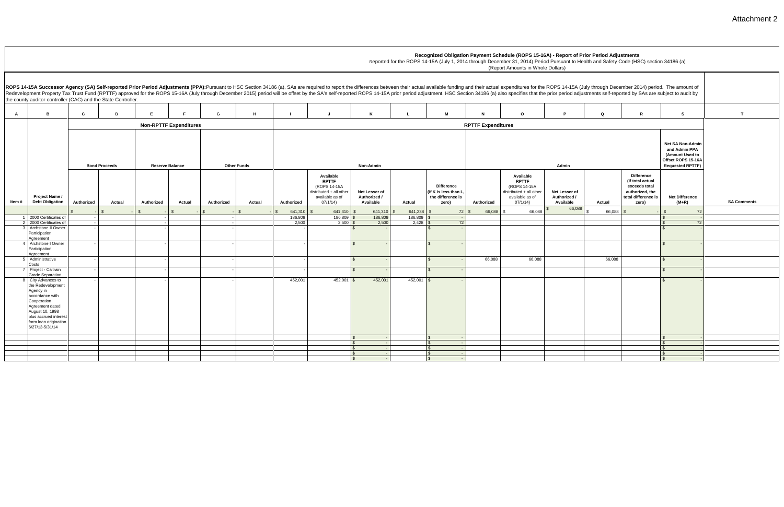**A B C D E F G H I J K L M N O P Q R S T** Authorized | Actual | Authorized | Actual | Authorized | Actual | Authorized | **Available RPTTF** (ROPS 14-15A distributed + all other available as of 07/1/14)  **Net Lesser of Authorized / Available Actual Difference (If K is less than L, the difference is zero) Authorized Available RPTTF** (ROPS 14-15A distributed + all other available as of 07/1/14) **Net Lesser of Authorized / Available** \$ -|\$ -|\$ -|\$ -|\$ -|\$ -|\$ -|\$ 641,310 |\$ 641,310 |\$ 641,310 |\$ 641,310 |\$ 641,238 |\$ 66,088 |` -66,0 1 2000 Certificates of 2 2000 Certificates of - - - 186,809 186,809 \$ 186,809 186,809 \$ - \$ - 3 Archstone II Owner - - - 2,500 2,500 \$ 2,500 2,428 \$ 72 \$ 72 Participation Agreement - - - - \$ - \$ - \$ - 4 Archstone I Owner **Participation** Agreement - - - - \$ - \$ - \$ - 5 Administrative Costs - - - - \$ - \$ - 66,088 66,088 66,088 \$ - 7 Project - Caltrain Grade Separation - - - - \$ - \$ - \$ - 8 City Advances to the Redevelopment Agency in accordance with Cooperation Agreement dated August 10, 1998 plus accrued interest form loan origination 6/27/13-5/31/14 - - | - | - | - | - | - | - | - | - | 452,001 | 452,001 |\$ 452,001 |\$ - | - | - | - | - | | |\$ - | | |\$ - | |  $\texttt{S}$  -  $\texttt{S}$  -  $\texttt{S}$  -  $\texttt{S}$  -  $\texttt{S}$  -  $\texttt{S}$  $\texttt{S}$  -  $\texttt{S}$  -  $\texttt{S}$  -  $\texttt{S}$  -  $\texttt{S}$  -  $\texttt{S}$  $\texttt{S}$  -  $\texttt{S}$  -  $\texttt{S}$  -  $\texttt{S}$  -  $\texttt{S}$  -  $\texttt{S}$  \$ - \$ - \$ - ROPS 14-15A Successor Agency (SA) Self-reported Prior Period Adjustments (PPA):Pursuant to HSC Section 34186 (a), SAs are required to report the differences between their actual available funding and their actual expenditu Redevelopment Property Tax Trust Fund (RPTTF) approved for the ROPS 15-16A (July through December 2015) period will be offset by the SA's self-reported ROPS 14-15A prior period adjustment. HSC Section 34186 (a) also specif the county auditor-controller (CAC) and the State Controller. **Item # Project Name / Debt Obligation Non-RPTTF Expenditures Bond Proceeds Reserve Balance Other Funds Non-Admin Admin RPTTF Expenditures**

|                       |                                            |            |                                                                          |                            | e differences between their actual available funding and their actual expenditures for the ROPS 14-15A (July through December 2014) period. The amount of<br>ed ROPS 14-15A prior period adjustment. HSC Section 34186 (a) also specifies that the prior period adjustments self-reported by SAs are subject to audit by |                                            |                   |                                                                                                           |                                                                                                       |                    |
|-----------------------|--------------------------------------------|------------|--------------------------------------------------------------------------|----------------------------|--------------------------------------------------------------------------------------------------------------------------------------------------------------------------------------------------------------------------------------------------------------------------------------------------------------------------|--------------------------------------------|-------------------|-----------------------------------------------------------------------------------------------------------|-------------------------------------------------------------------------------------------------------|--------------------|
|                       | К                                          | L          | М                                                                        | N                          | $\mathbf{o}$                                                                                                                                                                                                                                                                                                             | P                                          | Q                 | ${\bf R}$                                                                                                 | s                                                                                                     | $\mathbf T$        |
|                       |                                            |            |                                                                          | <b>RPTTF Expenditures</b>  |                                                                                                                                                                                                                                                                                                                          |                                            |                   |                                                                                                           |                                                                                                       |                    |
|                       | Non-Admin                                  |            |                                                                          |                            |                                                                                                                                                                                                                                                                                                                          | Admin                                      |                   |                                                                                                           | Net SA Non-Admin<br>and Admin PPA<br>(Amount Used to<br>Offset ROPS 15-16A<br><b>Requested RPTTF)</b> |                    |
|                       | Net Lesser of<br>Authorized /<br>Available | Actual     | <b>Difference</b><br>(If K is less than L,<br>the difference is<br>zero) | Authorized                 | Available<br><b>RPTTF</b><br>(ROPS 14-15A<br>distributed + all other<br>available as of<br>07/1/14                                                                                                                                                                                                                       | Net Lesser of<br>Authorized /<br>Available | Actual            | <b>Difference</b><br>(If total actual<br>exceeds total<br>authorized, the<br>total difference is<br>zero) | <b>Net Difference</b><br>$(M+R)$                                                                      | <b>SA Comments</b> |
| \$                    | 641,310 \$                                 | 641,238    | $\,$<br>72                                                               | 66,088 \$<br>$\sqrt[6]{2}$ | 66,088                                                                                                                                                                                                                                                                                                                   | 66,088<br>$\frac{3}{2}$                    | $\,$<br>66,088 \$ |                                                                                                           | $\boldsymbol{\mathsf{S}}$<br>72                                                                       |                    |
| \$\$                  | 186,809                                    | 186,809 \$ | $\sim$                                                                   |                            |                                                                                                                                                                                                                                                                                                                          |                                            |                   |                                                                                                           | $\sqrt{2}$                                                                                            |                    |
|                       | 2,500                                      | $2,428$ \$ | 72<br>$\overline{\phantom{a}}$                                           |                            |                                                                                                                                                                                                                                                                                                                          |                                            |                   |                                                                                                           | $\sqrt[6]{3}$<br>72                                                                                   |                    |
|                       |                                            |            | \$                                                                       |                            |                                                                                                                                                                                                                                                                                                                          |                                            |                   |                                                                                                           | $\sqrt[6]{2}$                                                                                         |                    |
| $\boldsymbol{\theta}$ | $\overline{a}$                             |            | $\frac{1}{2}$<br>$\overline{a}$                                          |                            |                                                                                                                                                                                                                                                                                                                          |                                            |                   |                                                                                                           | $\sqrt[6]{2}$                                                                                         |                    |
| $$\mathfrak{s}$$      |                                            |            | \$                                                                       | 66,088                     | 66,088                                                                                                                                                                                                                                                                                                                   |                                            | 66,088            |                                                                                                           | $\mathbb{S}$                                                                                          |                    |
| $$\mathbb{S}$$        |                                            |            | $\mathfrak s$                                                            |                            |                                                                                                                                                                                                                                                                                                                          |                                            |                   |                                                                                                           | $\sqrt[6]{2}$                                                                                         |                    |
| $\sqrt{2}$            | 452,001                                    | 452,001    | $\sqrt{3}$<br>$\mathcal{L}^{\pm}$                                        |                            |                                                                                                                                                                                                                                                                                                                          |                                            |                   |                                                                                                           | $\mathbb{S}$                                                                                          |                    |
|                       | $\blacksquare$                             |            | \$<br>$\sim$                                                             |                            |                                                                                                                                                                                                                                                                                                                          |                                            |                   |                                                                                                           | $\mathfrak{S}$                                                                                        |                    |
|                       | $\sim$                                     |            | \$<br>$\blacksquare$                                                     |                            |                                                                                                                                                                                                                                                                                                                          |                                            |                   |                                                                                                           | $\sqrt[6]{2}$                                                                                         |                    |
|                       | $\blacksquare$                             |            | $\mathsf{\$}$<br>$\blacksquare$                                          |                            |                                                                                                                                                                                                                                                                                                                          |                                            |                   |                                                                                                           | $\frac{1}{2}$                                                                                         |                    |
| $\frac{1}{2}$         | $\sim$<br>$\sim$                           |            | $\mathfrak s$<br>$\sim$<br>$\mathfrak{L}$<br>$\mathbf{r}$                |                            |                                                                                                                                                                                                                                                                                                                          |                                            |                   |                                                                                                           | $\mathfrak s$<br>$\mathbb{S}$                                                                         |                    |
|                       |                                            |            |                                                                          |                            |                                                                                                                                                                                                                                                                                                                          |                                            |                   |                                                                                                           |                                                                                                       |                    |

**Recognized Obligation Payment Schedule (ROPS 15-16A) - Report of Prior Period Adjustments**

Reported for the ROPS 14-15A (July 1, 2014 through December 31, 2014) Period Pursuant to Health and Safety Code (HSC) section 34186 (a)

(Report Amounts in Whole Dollars)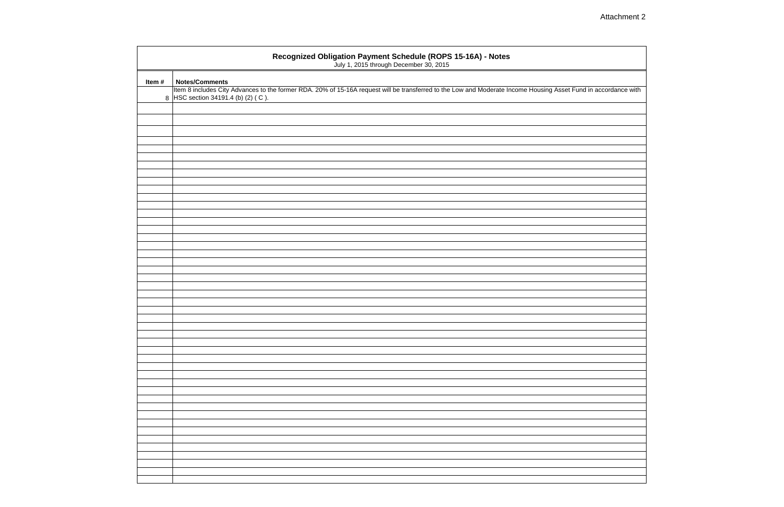|       | Recognized Obligation Payment Schedule (ROPS 15-16A) - Notes<br>July 1, 2015 through December 30, 2015                                                                                                |
|-------|-------------------------------------------------------------------------------------------------------------------------------------------------------------------------------------------------------|
| Item# | <b>Notes/Comments</b>                                                                                                                                                                                 |
|       | Item 8 includes City Advances to the former RDA. 20% of 15-16A request will be transferred to the Low and Moderate Income Housing Asset Fund in accordance with<br>8 HSC section 34191.4 (b) (2) (C). |
|       |                                                                                                                                                                                                       |
|       |                                                                                                                                                                                                       |
|       |                                                                                                                                                                                                       |
|       |                                                                                                                                                                                                       |
|       |                                                                                                                                                                                                       |
|       |                                                                                                                                                                                                       |
|       |                                                                                                                                                                                                       |
|       |                                                                                                                                                                                                       |
|       |                                                                                                                                                                                                       |
|       |                                                                                                                                                                                                       |
|       |                                                                                                                                                                                                       |
|       |                                                                                                                                                                                                       |
|       |                                                                                                                                                                                                       |
|       |                                                                                                                                                                                                       |
|       |                                                                                                                                                                                                       |
|       |                                                                                                                                                                                                       |
|       |                                                                                                                                                                                                       |
|       |                                                                                                                                                                                                       |
|       |                                                                                                                                                                                                       |
|       |                                                                                                                                                                                                       |
|       |                                                                                                                                                                                                       |

## Attachment 2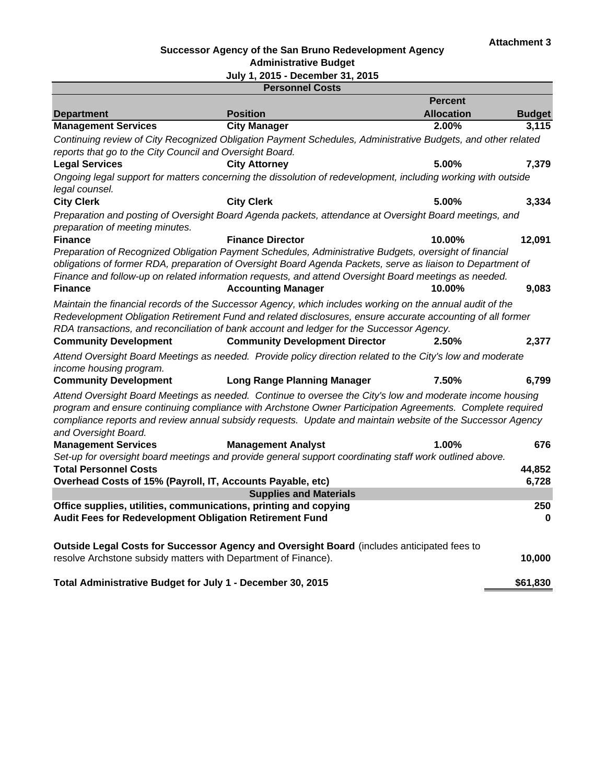### **Successor Agency of the San Bruno Redevelopment Agency Administrative Budget**

|                                                                | July 1, 2015 - December 31, 2015                                                                                                                                                                                                                                                                                                     |                   |               |
|----------------------------------------------------------------|--------------------------------------------------------------------------------------------------------------------------------------------------------------------------------------------------------------------------------------------------------------------------------------------------------------------------------------|-------------------|---------------|
|                                                                | <b>Personnel Costs</b>                                                                                                                                                                                                                                                                                                               |                   |               |
|                                                                |                                                                                                                                                                                                                                                                                                                                      | <b>Percent</b>    |               |
| <b>Department</b>                                              | <b>Position</b>                                                                                                                                                                                                                                                                                                                      | <b>Allocation</b> | <b>Budget</b> |
| <b>Management Services</b>                                     | <b>City Manager</b>                                                                                                                                                                                                                                                                                                                  | 2.00%             | 3,115         |
|                                                                | Continuing review of City Recognized Obligation Payment Schedules, Administrative Budgets, and other related                                                                                                                                                                                                                         |                   |               |
| reports that go to the City Council and Oversight Board.       |                                                                                                                                                                                                                                                                                                                                      |                   |               |
| <b>Legal Services</b>                                          | <b>City Attorney</b>                                                                                                                                                                                                                                                                                                                 | 5.00%             | 7,379         |
| legal counsel.                                                 | Ongoing legal support for matters concerning the dissolution of redevelopment, including working with outside                                                                                                                                                                                                                        |                   |               |
| <b>City Clerk</b>                                              | <b>City Clerk</b>                                                                                                                                                                                                                                                                                                                    | 5.00%             | 3,334         |
| preparation of meeting minutes.                                | Preparation and posting of Oversight Board Agenda packets, attendance at Oversight Board meetings, and                                                                                                                                                                                                                               |                   |               |
| <b>Finance</b>                                                 | <b>Finance Director</b>                                                                                                                                                                                                                                                                                                              | 10.00%            | 12,091        |
|                                                                | Preparation of Recognized Obligation Payment Schedules, Administrative Budgets, oversight of financial                                                                                                                                                                                                                               |                   |               |
|                                                                | obligations of former RDA, preparation of Oversight Board Agenda Packets, serve as liaison to Department of                                                                                                                                                                                                                          |                   |               |
|                                                                | Finance and follow-up on related information requests, and attend Oversight Board meetings as needed.                                                                                                                                                                                                                                |                   |               |
| <b>Finance</b>                                                 | <b>Accounting Manager</b>                                                                                                                                                                                                                                                                                                            | 10.00%            | 9,083         |
|                                                                | Maintain the financial records of the Successor Agency, which includes working on the annual audit of the                                                                                                                                                                                                                            |                   |               |
|                                                                | Redevelopment Obligation Retirement Fund and related disclosures, ensure accurate accounting of all former                                                                                                                                                                                                                           |                   |               |
|                                                                | RDA transactions, and reconciliation of bank account and ledger for the Successor Agency.                                                                                                                                                                                                                                            |                   |               |
| <b>Community Development</b>                                   | <b>Community Development Director</b>                                                                                                                                                                                                                                                                                                | 2.50%             | 2,377         |
|                                                                | Attend Oversight Board Meetings as needed. Provide policy direction related to the City's low and moderate                                                                                                                                                                                                                           |                   |               |
| income housing program.                                        |                                                                                                                                                                                                                                                                                                                                      |                   |               |
| <b>Community Development</b>                                   | <b>Long Range Planning Manager</b>                                                                                                                                                                                                                                                                                                   | 7.50%             | 6,799         |
| and Oversight Board.                                           | Attend Oversight Board Meetings as needed. Continue to oversee the City's low and moderate income housing<br>program and ensure continuing compliance with Archstone Owner Participation Agreements. Complete required<br>compliance reports and review annual subsidy requests. Update and maintain website of the Successor Agency |                   |               |
| <b>Management Services</b>                                     | <b>Management Analyst</b>                                                                                                                                                                                                                                                                                                            | 1.00%             | 676           |
|                                                                | Set-up for oversight board meetings and provide general support coordinating staff work outlined above.                                                                                                                                                                                                                              |                   |               |
| <b>Total Personnel Costs</b>                                   |                                                                                                                                                                                                                                                                                                                                      |                   | 44,852        |
| Overhead Costs of 15% (Payroll, IT, Accounts Payable, etc)     |                                                                                                                                                                                                                                                                                                                                      |                   | 6,728         |
|                                                                | <b>Supplies and Materials</b>                                                                                                                                                                                                                                                                                                        |                   |               |
|                                                                | Office supplies, utilities, communications, printing and copying                                                                                                                                                                                                                                                                     |                   | 250           |
| Audit Fees for Redevelopment Obligation Retirement Fund        |                                                                                                                                                                                                                                                                                                                                      |                   | 0             |
|                                                                |                                                                                                                                                                                                                                                                                                                                      |                   |               |
|                                                                | Outside Legal Costs for Successor Agency and Oversight Board (includes anticipated fees to                                                                                                                                                                                                                                           |                   |               |
| resolve Archstone subsidy matters with Department of Finance). |                                                                                                                                                                                                                                                                                                                                      |                   | 10,000        |
|                                                                |                                                                                                                                                                                                                                                                                                                                      |                   |               |
| Total Administrative Budget for July 1 - December 30, 2015     |                                                                                                                                                                                                                                                                                                                                      |                   | \$61,830      |
|                                                                |                                                                                                                                                                                                                                                                                                                                      |                   |               |